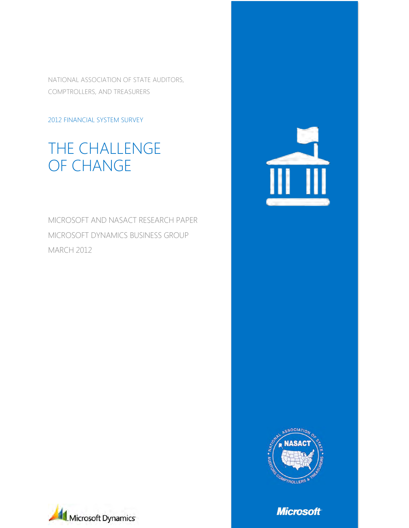NATIONAL ASSOCIATION OF STATE AUDITORS, COMPTROLLERS, AND TREASURERS

#### 2012 FINANCIAL SYSTEM SURVEY

# THE CHALLENGE OF CHANGE

MICROSOFT AND NASACT RESEARCH PAPER MICROSOFT DYNAMICS BUSINESS GROUP MARCH 2012







**Microsoft**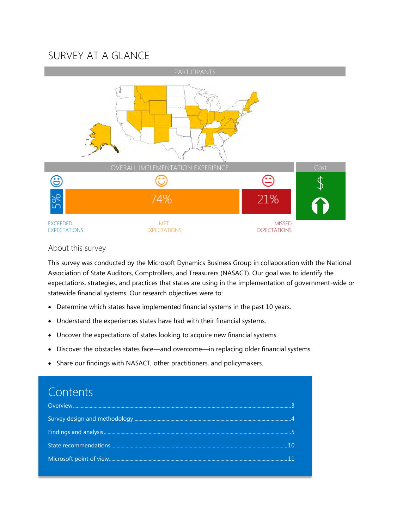## SURVEY AT A GLANCE



#### About this survey

This survey was conducted by the Microsoft Dynamics Business Group in collaboration with the National Association of State Auditors, Comptrollers, and Treasurers (NASACT). Our goal was to identify the expectations, strategies, and practices that states are using in the implementation of government-wide or statewide financial systems. Our research objectives were to:

- Determine which states have implemented financial systems in the past 10 years.
- Understand the experiences states have had with their financial systems.
- Uncover the expectations of states looking to acquire new financial systems.
- Discover the obstacles states face—and overcome—in replacing older financial systems.
- Share our findings with NASACT, other practitioners, and policymakers.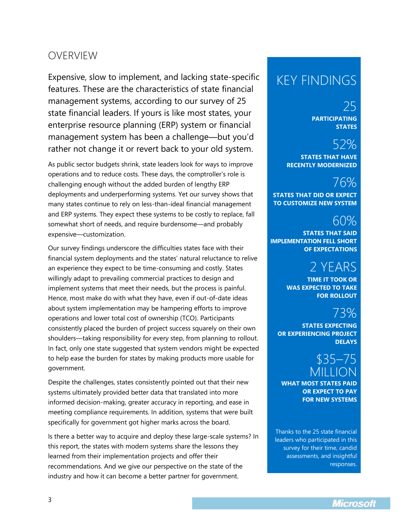### <span id="page-2-0"></span>OVERVIEW

Expensive, slow to implement, and lacking state-specific features. These are the characteristics of state financial management systems, according to our survey of 25 state financial leaders. If yours is like most states, your enterprise resource planning (ERP) system or financial management system has been a challenge—but you'd rather not change it or revert back to your old system.

As public sector budgets shrink, state leaders look for ways to improve operations and to reduce costs. These days, the comptroller's role is challenging enough without the added burden of lengthy ERP deployments and underperforming systems. Yet our survey shows that many states continue to rely on less-than-ideal financial management and ERP systems. They expect these systems to be costly to replace, fall somewhat short of needs, and require burdensome—and probably expensive—customization.

Our survey findings underscore the difficulties states face with their financial system deployments and the states' natural reluctance to relive an experience they expect to be time-consuming and costly. States willingly adapt to prevailing commercial practices to design and implement systems that meet their needs, but the process is painful. Hence, most make do with what they have, even if out-of-date ideas about system implementation may be hampering efforts to improve operations and lower total cost of ownership (TCO). Participants consistently placed the burden of project success squarely on their own shoulders—taking responsibility for every step, from planning to rollout. In fact, only one state suggested that system vendors might be expected to help ease the burden for states by making products more usable for government.

Despite the challenges, states consistently pointed out that their new systems ultimately provided better data that translated into more informed decision-making, greater accuracy in reporting, and ease in meeting compliance requirements. In addition, systems that were built specifically for government got higher marks across the board.

Is there a better way to acquire and deploy these large-scale systems? In this report, the states with modern systems share the lessons they learned from their implementation projects and offer their recommendations. And we give our perspective on the state of the industry and how it can become a better partner for government.

# KEY FINDINGS

25 **PARTICIPATING STATES**

# 52%

**STATES THAT HAVE RECENTLY MODERNIZED**

# 76%

**STATES THAT DID OR EXPECT TO CUSTOMIZE NEW SYSTEM**

# 60%

**STATES THAT SAID IMPLEMENTATION FELL SHORT OF EXPECTATIONS**

# 2 YEARS

**TIME IT TOOK OR WAS EXPECTED TO TAKE FOR ROLLOUT**

# 73%

**STATES EXPECTING OR EXPERIENCING PROJECT DELAYS**

# ና35– MILLION

**WHAT MOST STATES PAID OR EXPECT TO PAY FOR NEW SYSTEMS**

Thanks to the 25 state financial leaders who participated in this survey for their time, candid assessments, and insightful responses.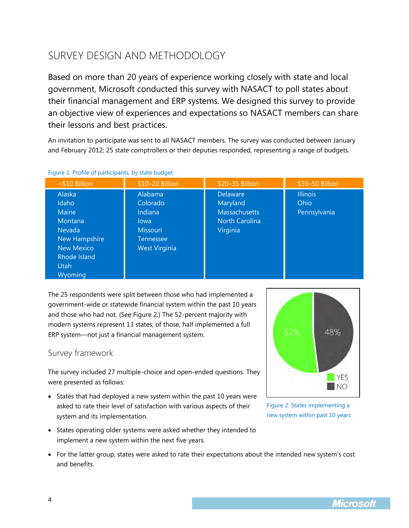# <span id="page-3-0"></span>SURVEY DESIGN AND METHODOLOGY

Based on more than 20 years of experience working closely with state and local government, Microsoft conducted this survey with NASACT to poll states about their financial management and ERP systems. We designed this survey to provide an objective view of experiences and expectations so NASACT members can share their lessons and best practices.

An invitation to participate was sent to all NASACT members. The survey was conducted between January and February 2012; 25 state comptrollers or their deputies responded, representing a range of budgets.

| <\$10 Billion                                                         | \$10-20 Billion                                                 | \$20-35 Billion                                                                   | \$35-50 Billion                         |
|-----------------------------------------------------------------------|-----------------------------------------------------------------|-----------------------------------------------------------------------------------|-----------------------------------------|
| Alaska<br>Idaho<br>Maine<br>Montana<br>Nevada<br><b>New Hampshire</b> | Alabama<br>Colorado<br>Indiana<br>lowa<br>Missouri<br>Tennessee | Delaware<br>Maryland<br><b>Massachusetts</b><br><b>North Carolina</b><br>Virginia | <b>Illinois</b><br>Ohio<br>Pennsylvania |
| <b>New Mexico</b><br>Rhode Island<br><b>Utah</b><br>Wyoming           | <b>West Virginia</b>                                            |                                                                                   |                                         |

Figure 1. Profile of participants, by state budget

The 25 respondents were split between those who had implemented a government-wide or statewide financial system within the past 10 years and those who had not. (See Figure 2.) The 52-percent majority with modern systems represent 13 states; of those, half implemented a full ERP system―not just a financial management system.

#### Survey framework

The survey included 27 multiple-choice and open-ended questions. They were presented as follows:

- States that had deployed a new system within the past 10 years were asked to rate their level of satisfaction with various aspects of their system and its implementation.
- States operating older systems were asked whether they intended to implement a new system within the next five years.
- For the latter group, states were asked to rate their expectations about the intended new system's cost and benefits.



Figure 2. States implementing a new system within past 10 years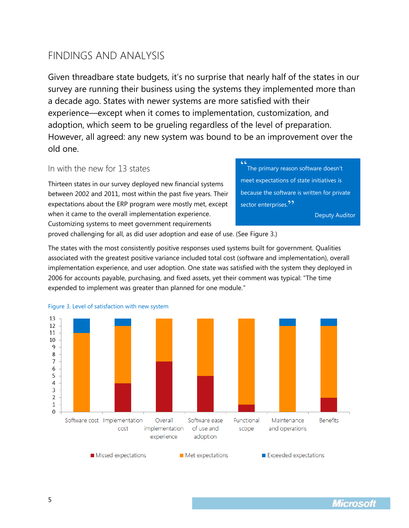### <span id="page-4-0"></span>FINDINGS AND ANALYSIS

Given threadbare state budgets, it's no surprise that nearly half of the states in our survey are running their business using the systems they implemented more than a decade ago. States with newer systems are more satisfied with their experience—except when it comes to implementation, customization, and adoption, which seem to be grueling regardless of the level of preparation. However, all agreed: any new system was bound to be an improvement over the old one.

#### In with the new for 13 states

Thirteen states in our survey deployed new financial systems between 2002 and 2011, most within the past five years. Their expectations about the ERP program were mostly met, except when it came to the overall implementation experience. Customizing systems to meet government requirements

" The primary reason software doesn't meet expectations of state initiatives is because the software is written for private sector enterprises.<sup>99</sup>

Deputy Auditor

proved challenging for all, as did user adoption and ease of use. (See Figure 3.)

The states with the most consistently positive responses used systems built for government. Qualities associated with the greatest positive variance included total cost (software and implementation), overall implementation experience, and user adoption. One state was satisfied with the system they deployed in 2006 for accounts payable, purchasing, and fixed assets, yet their comment was typical: "The time expended to implement was greater than planned for one module."



Figure 3. Level of satisfaction with new system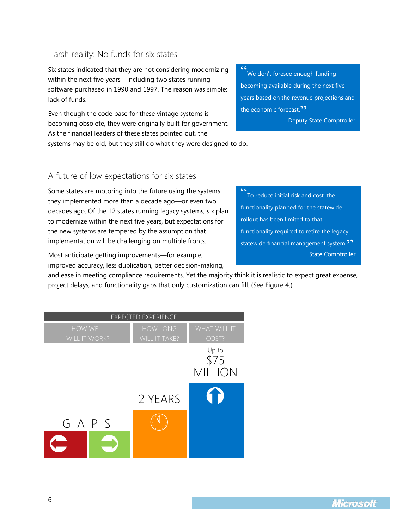### Harsh reality: No funds for six states

Six states indicated that they are not considering modernizing within the next five years—including two states running software purchased in 1990 and 1997. The reason was simple: lack of funds.

Even though the code base for these vintage systems is becoming obsolete, they were originally built for government. As the financial leaders of these states pointed out, the

" We don't foresee enough funding becoming available during the next five years based on the revenue projections and the economic forecast.<sup>"</sup> Deputy State Comptroller

systems may be old, but they still do what they were designed to do.

#### A future of low expectations for six states

Some states are motoring into the future using the systems they implemented more than a decade ago—or even two decades ago. Of the 12 states running legacy systems, six plan to modernize within the next five years, but expectations for the new systems are tempered by the assumption that implementation will be challenging on multiple fronts.

Most anticipate getting improvements—for example, improved accuracy, less duplication, better decision-making,

and ease in meeting compliance requirements. Yet the majority think it is realistic to expect great expense, project delays, and functionality gaps that only customization can fill. (See Figure 4.)

 $C<sub>1</sub>$ 



To reduce initial risk and cost, the functionality planned for the statewide rollout has been limited to that functionality required to retire the legacy statewide financial management system.<sup>??</sup> State Comptroller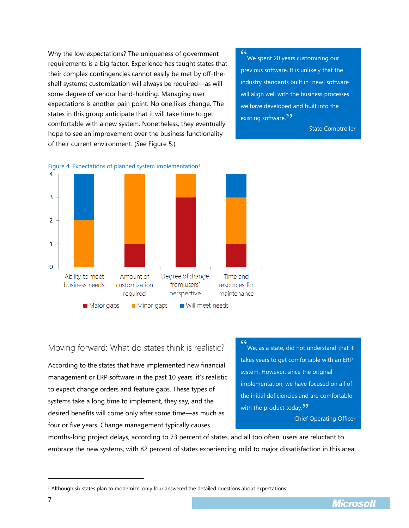Why the low expectations? The uniqueness of government requirements is a big factor. Experience has taught states that their complex contingencies cannot easily be met by off-theshelf systems; customization will always be required—as will some degree of vendor hand-holding. Managing user expectations is another pain point. No one likes change. The states in this group anticipate that it will take time to get comfortable with a new system. Nonetheless, they eventually hope to see an improvement over the business functionality of their current environment. (See Figure 5.)

" We spent 20 years customizing our previous software. It is unlikely that the industry standards built in [new] software will align well with the business processes we have developed and built into the existing software.<sup>99</sup>

State Comptroller



### Moving forward: What do states think is realistic?

According to the states that have implemented new financial management or ERP software in the past 10 years, it's realistic to expect change orders and feature gaps. These types of systems take a long time to implement, they say, and the desired benefits will come only after some time—as much as four or five years. Change management typically causes

" We, as a state, did not understand that it takes years to get comfortable with an ERP system. However, since the original implementation, we have focused on all of the initial deficiencies and are comfortable with the product today. $22$ Chief Operating Officer

months-long project delays, according to 73 percent of states, and all too often, users are reluctant to embrace the new systems, with 82 percent of states experiencing mild to major dissatisfaction in this area.

l

<sup>1</sup> Although six states plan to modernize, only four answered the detailed questions about expectations.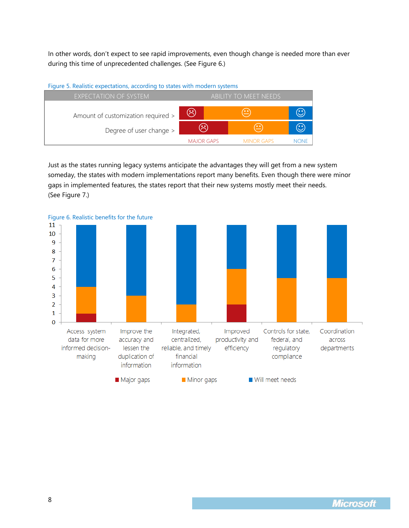In other words, don't expect to see rapid improvements, even though change is needed more than ever during this time of unprecedented challenges. (See Figure 6.)

#### Figure 5. Realistic expectations, according to states with modern systems



Just as the states running legacy systems anticipate the advantages they will get from a new system someday, the states with modern implementations report many benefits. Even though there were minor gaps in implemented features, the states report that their new systems mostly meet their needs. (See Figure 7.)

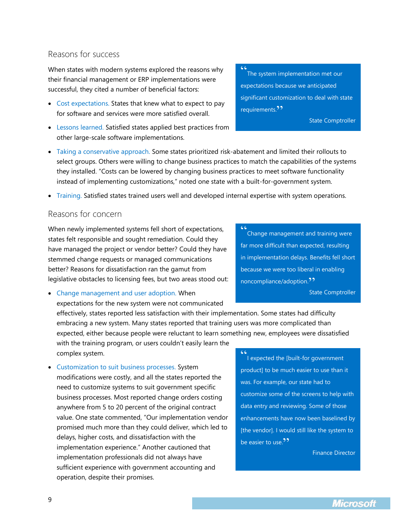9

#### Reasons for success

When states with modern systems explored the reasons why their financial management or ERP implementations were successful, they cited a number of beneficial factors:

- Cost expectations. States that knew what to expect to pay for software and services were more satisfied overall.
- Lessons learned. Satisfied states applied best practices from other large-scale software implementations.
- Taking a conservative approach. Some states prioritized risk-abatement and limited their rollouts to select groups. Others were willing to change business practices to match the capabilities of the systems they installed. "Costs can be lowered by changing business practices to meet software functionality instead of implementing customizations," noted one state with a built-for-government system.
- Training. Satisfied states trained users well and developed internal expertise with system operations.

#### Reasons for concern

When newly implemented systems fell short of expectations, states felt responsible and sought remediation. Could they have managed the project or vendor better? Could they have stemmed change requests or managed communications better? Reasons for dissatisfaction ran the gamut from legislative obstacles to licensing fees, but two areas stood out:

 Change management and user adoption. When expectations for the new system were not communicated

effectively, states reported less satisfaction with their implementation. Some states had difficulty embracing a new system. Many states reported that training users was more complicated than expected, either because people were reluctant to learn something new, employees were dissatisfied

with the training program, or users couldn't easily learn the complex system.

• Customization to suit business processes. System modifications were costly, and all the states reported the need to customize systems to suit government specific business processes. Most reported change orders costing anywhere from 5 to 20 percent of the original contract value. One state commented, "Our implementation vendor promised much more than they could deliver, which led to delays, higher costs, and dissatisfaction with the implementation experience." Another cautioned that implementation professionals did not always have sufficient experience with government accounting and operation, despite their promises.

" I expected the [built-for government product] to be much easier to use than it was. For example, our state had to customize some of the screens to help with data entry and reviewing. Some of those enhancements have now been baselined by [the vendor]. I would still like the system to be easier to use. $"$ 

Finance Director

" Change management and training were far more difficult than expected, resulting in implementation delays. Benefits fell short because we were too liberal in enabling noncompliance/adoption.<sup>??</sup>

State Comptroller

The system implementation met our expectations because we anticipated significant customization to deal with state requirements.<sup>??</sup>

 $66$ 

State Comptroller

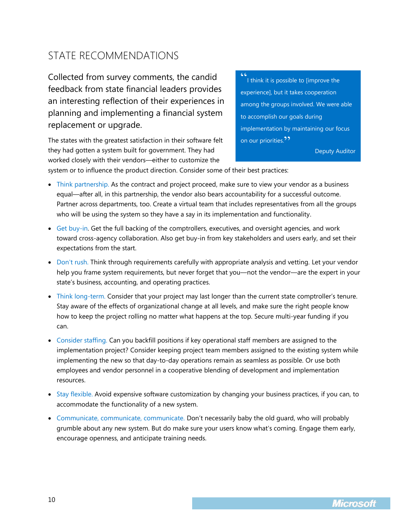## <span id="page-9-0"></span>STATE RECOMMENDATIONS

Collected from survey comments, the candid feedback from state financial leaders provides an interesting reflection of their experiences in planning and implementing a financial system replacement or upgrade.

The states with the greatest satisfaction in their software felt they had gotten a system built for government. They had worked closely with their vendors—either to customize the

" I think it is possible to [improve the experience], but it takes cooperation among the groups involved. We were able to accomplish our goals during implementation by maintaining our focus on our priorities.<sup>??</sup>

Deputy Auditor

system or to influence the product direction. Consider some of their best practices:

- Think partnership. As the contract and project proceed, make sure to view your vendor as a business equal—after all, in this partnership, the vendor also bears accountability for a successful outcome. Partner across departments, too. Create a virtual team that includes representatives from all the groups who will be using the system so they have a say in its implementation and functionality.
- Get buy-in. Get the full backing of the comptrollers, executives, and oversight agencies, and work toward cross-agency collaboration. Also get buy-in from key stakeholders and users early, and set their expectations from the start.
- Don't rush. Think through requirements carefully with appropriate analysis and vetting. Let your vendor help you frame system requirements, but never forget that you—not the vendor—are the expert in your state's business, accounting, and operating practices.
- Think long-term. Consider that your project may last longer than the current state comptroller's tenure. Stay aware of the effects of organizational change at all levels, and make sure the right people know how to keep the project rolling no matter what happens at the top. Secure multi-year funding if you can.
- Consider staffing. Can you backfill positions if key operational staff members are assigned to the implementation project? Consider keeping project team members assigned to the existing system while implementing the new so that day-to-day operations remain as seamless as possible. Or use both employees and vendor personnel in a cooperative blending of development and implementation resources.
- Stay flexible. Avoid expensive software customization by changing your business practices, if you can, to accommodate the functionality of a new system.
- Communicate, communicate, communicate. Don't necessarily baby the old guard, who will probably grumble about any new system. But do make sure your users know what's coming. Engage them early, encourage openness, and anticipate training needs.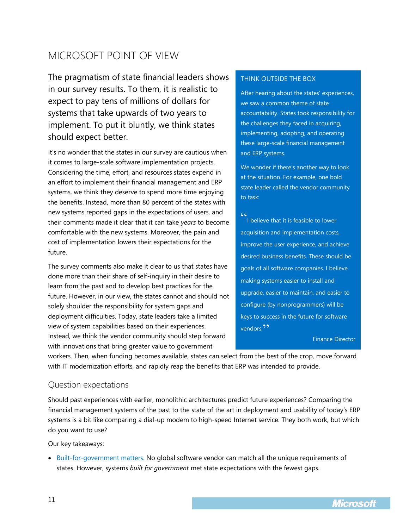## <span id="page-10-0"></span>MICROSOFT POINT OF VIEW

The pragmatism of state financial leaders shows in our survey results. To them, it is realistic to expect to pay tens of millions of dollars for systems that take upwards of two years to implement. To put it bluntly, we think states should expect better.

It's no wonder that the states in our survey are cautious when it comes to large-scale software implementation projects. Considering the time, effort, and resources states expend in an effort to implement their financial management and ERP systems, we think they deserve to spend more time enjoying the benefits. Instead, more than 80 percent of the states with new systems reported gaps in the expectations of users, and their comments made it clear that it can take *years* to become comfortable with the new systems. Moreover, the pain and cost of implementation lowers their expectations for the future.

The survey comments also make it clear to us that states have done more than their share of self-inquiry in their desire to learn from the past and to develop best practices for the future. However, in our view, the states cannot and should not solely shoulder the responsibility for system gaps and deployment difficulties. Today, state leaders take a limited view of system capabilities based on their experiences. Instead, we think the vendor community should step forward with innovations that bring greater value to government

#### THINK OUTSIDE THE BOX

After hearing about the states' experiences, we saw a common theme of state accountability. States took responsibility for the challenges they faced in acquiring, implementing, adopting, and operating these large-scale financial management and ERP systems.

We wonder if there's another way to look at the situation. For example, one bold state leader called the vendor community to task:

I believe that it is feasible to lower acquisition and implementation costs,

 $C<sub>1</sub>$ 

improve the user experience, and achieve desired business benefits. These should be goals of all software companies. I believe making systems easier to install and upgrade, easier to maintain, and easier to configure (by nonprogrammers) will be keys to success in the future for software vendors<sup>99</sup>

Finance Director

workers. Then, when funding becomes available, states can select from the best of the crop, move forward with IT modernization efforts, and rapidly reap the benefits that ERP was intended to provide.

#### Question expectations

Should past experiences with earlier, monolithic architectures predict future experiences? Comparing the financial management systems of the past to the state of the art in deployment and usability of today's ERP systems is a bit like comparing a dial-up modem to high-speed Internet service. They both work, but which do you want to use?

Our key takeaways:

 Built-for-government matters. No global software vendor can match all the unique requirements of states. However, systems *built for government* met state expectations with the fewest gaps.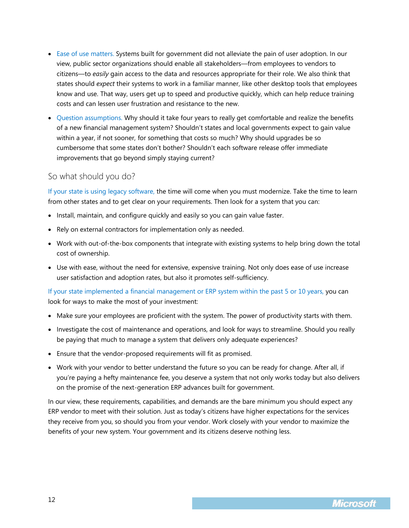- Ease of use matters. Systems built for government did not alleviate the pain of user adoption. In our view, public sector organizations should enable all stakeholders—from employees to vendors to citizens—to *easily* gain access to the data and resources appropriate for their role. We also think that states should *expect* their systems to work in a familiar manner, like other desktop tools that employees know and use. That way, users get up to speed and productive quickly, which can help reduce training costs and can lessen user frustration and resistance to the new.
- Question assumptions. Why should it take four years to really get comfortable and realize the benefits of a new financial management system? Shouldn't states and local governments expect to gain value within a year, if not sooner, for something that costs so much? Why should upgrades be so cumbersome that some states don't bother? Shouldn't each software release offer immediate improvements that go beyond simply staying current?

#### So what should you do?

If your state is using legacy software, the time will come when you must modernize. Take the time to learn from other states and to get clear on your requirements. Then look for a system that you can:

- Install, maintain, and configure quickly and easily so you can gain value faster.
- Rely on external contractors for implementation only as needed.
- Work with out-of-the-box components that integrate with existing systems to help bring down the total cost of ownership.
- Use with ease, without the need for extensive, expensive training. Not only does ease of use increase user satisfaction and adoption rates, but also it promotes self-sufficiency.

If your state implemented a financial management or ERP system within the past 5 or 10 years, you can look for ways to make the most of your investment:

- Make sure your employees are proficient with the system. The power of productivity starts with them.
- Investigate the cost of maintenance and operations, and look for ways to streamline. Should you really be paying that much to manage a system that delivers only adequate experiences?
- Ensure that the vendor-proposed requirements will fit as promised.
- Work with your vendor to better understand the future so you can be ready for change. After all, if you're paying a hefty maintenance fee, you deserve a system that not only works today but also delivers on the promise of the next-generation ERP advances built for government.

In our view, these requirements, capabilities, and demands are the bare minimum you should expect any ERP vendor to meet with their solution. Just as today's citizens have higher expectations for the services they receive from you, so should you from your vendor. Work closely with your vendor to maximize the benefits of your new system. Your government and its citizens deserve nothing less.